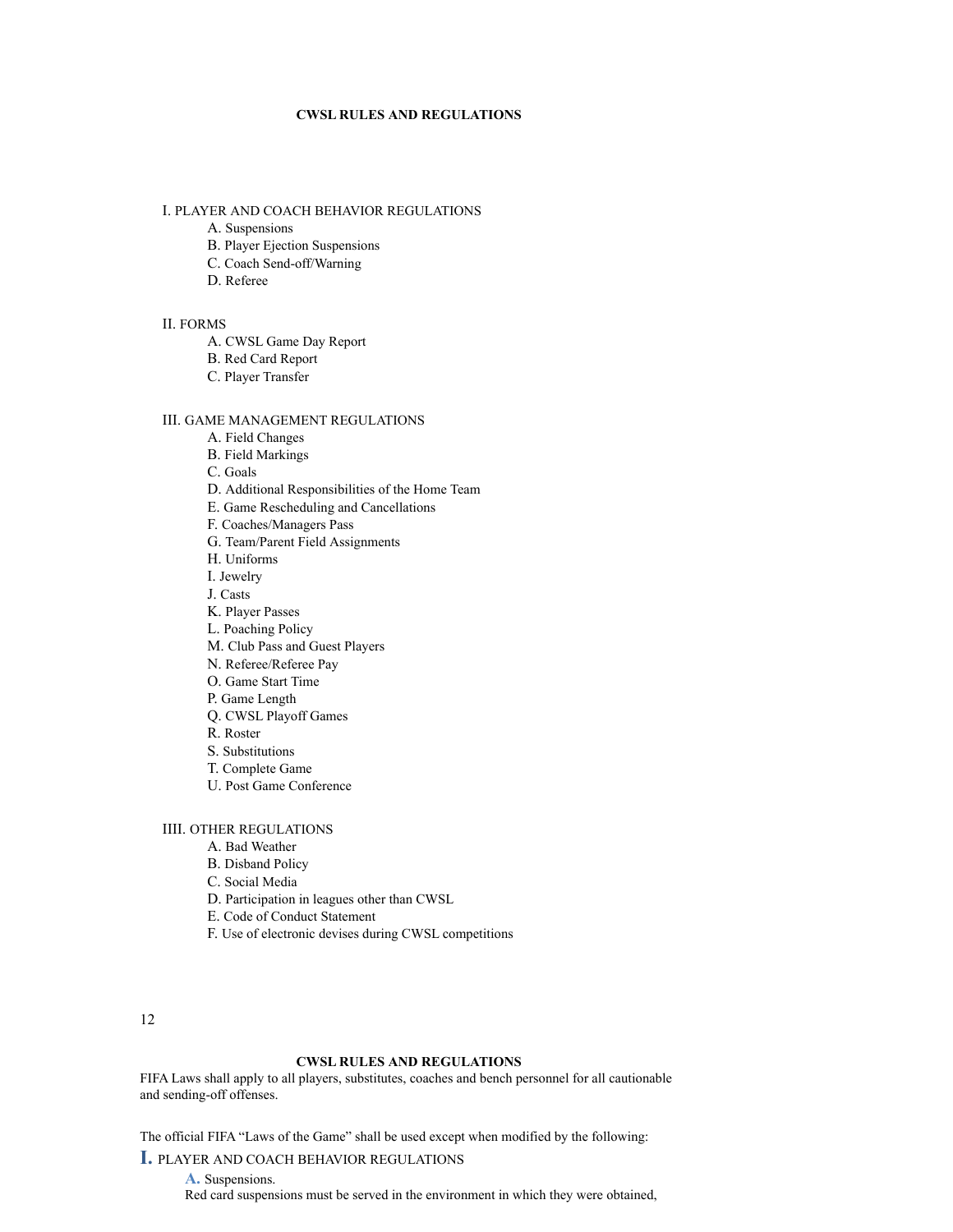# **CWSL RULES AND REGULATIONS**

# I. PLAYER AND COACH BEHAVIOR REGULATIONS

- A. Suspensions
- B. Player Ejection Suspensions
- C. Coach Send-off/Warning
- D. Referee

#### II. FORMS

- A. CWSL Game Day Report
- B. Red Card Report
- C. Player Transfer

# III. GAME MANAGEMENT REGULATIONS

- A. Field Changes
- B. Field Markings
- C. Goals
- D. Additional Responsibilities of the Home Team
- E. Game Rescheduling and Cancellations
- F. Coaches/Managers Pass
- G. Team/Parent Field Assignments
- H. Uniforms
- I. Jewelry
- J. Casts
- K. Player Passes
- L. Poaching Policy
- M. Club Pass and Guest Players
- N. Referee/Referee Pay
- O. Game Start Time
- P. Game Length
- Q. CWSL Playoff Games
- R. Roster
- S. Substitutions
- T. Complete Game
- U. Post Game Conference

# IIII. OTHER REGULATIONS

- A. Bad Weather
- B. Disband Policy
- C. Social Media
- D. Participation in leagues other than CWSL
- E. Code of Conduct Statement
- F. Use of electronic devises during CWSL competitions

12

# **CWSL RULES AND REGULATIONS**

FIFA Laws shall apply to all players, substitutes, coaches and bench personnel for all cautionable and sending-off offenses.

The official FIFA "Laws of the Game" shall be used except when modified by the following:

# **I.** PLAYER AND COACH BEHAVIOR REGULATIONS

A. Suspensions. Red card suspensions must be served in the environment in which they were obtained,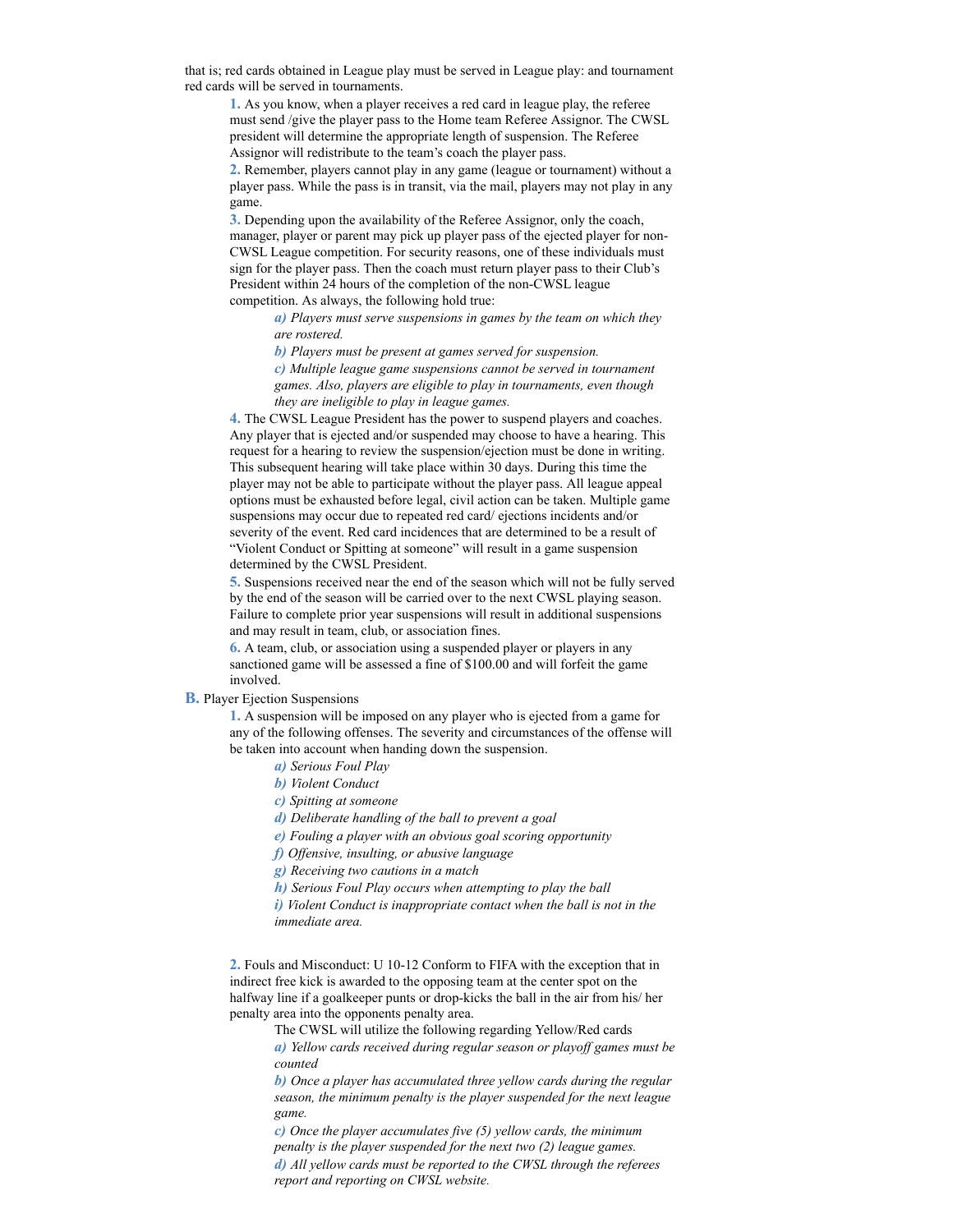that is; red cards obtained in League play must be served in League play: and tournament red cards will be served in tournaments.

**1.** As you know, when a player receives a red card in league play, the referee must send /give the player pass to the Home team Referee Assignor. The CWSL president will determine the appropriate length of suspension. The Referee Assignor will redistribute to the team's coach the player pass.

**2.** Remember, players cannot play in any game (league or tournament) without a player pass. While the pass is in transit, via the mail, players may not play in any game.

**3.** Depending upon the availability of the Referee Assignor, only the coach, manager, player or parent may pick up player pass of the ejected player for non-CWSL League competition. For security reasons, one of these individuals must sign for the player pass. Then the coach must return player pass to their Club's President within 24 hours of the completion of the non-CWSL league competition. As always, the following hold true:

> *a) Players must serve suspensions in games by the team on which they are rostered.*

*b) Players must be present at games served for suspension.*

*c) Multiple league game suspensions cannot be served in tournament games. Also, players are eligible to play in tournaments, even though they are ineligible to play in league games.*

**4.** The CWSL League President has the power to suspend players and coaches. Any player that is ejected and/or suspended may choose to have a hearing. This request for a hearing to review the suspension/ejection must be done in writing. This subsequent hearing will take place within 30 days. During this time the player may not be able to participate without the player pass. All league appeal options must be exhausted before legal, civil action can be taken. Multiple game suspensions may occur due to repeated red card/ ejections incidents and/or severity of the event. Red card incidences that are determined to be a result of "Violent Conduct or Spitting at someone" will result in a game suspension determined by the CWSL President.

**5.** Suspensions received near the end of the season which will not be fully served by the end of the season will be carried over to the next CWSL playing season. Failure to complete prior year suspensions will result in additional suspensions and may result in team, club, or association fines.

**6.** A team, club, or association using a suspended player or players in any sanctioned game will be assessed a fine of \$100.00 and will forfeit the game involved.

### **B.** Player Ejection Suspensions

**1.** A suspension will be imposed on any player who is ejected from a game for any of the following offenses. The severity and circumstances of the offense will be taken into account when handing down the suspension.

- *a) Serious Foul Play*
- *b) Violent Conduct*
- *c) Spitting at someone*

*d) Deliberate handling of the ball to prevent a goal*

*e) Fouling a player with an obvious goal scoring opportunity*

*f) Offensive, insulting, or abusive language*

*g) Receiving two cautions in a match*

*h) Serious Foul Play occurs when attempting to play the ball*

*i) Violent Conduct is inappropriate contact when the ball is not in the immediate area.*

**2.** Fouls and Misconduct: U 10-12 Conform to FIFA with the exception that in indirect free kick is awarded to the opposing team at the center spot on the halfway line if a goalkeeper punts or drop-kicks the ball in the air from his/ her penalty area into the opponents penalty area.

The CWSL will utilize the following regarding Yellow/Red cards

*a) Yellow cards received during regular season or playoff games must be counted*

*b) Once a player has accumulated three yellow cards during the regular season, the minimum penalty is the player suspended for the next league game.*

*c) Once the player accumulates five (5) yellow cards, the minimum penalty is the player suspended for the next two (2) league games. d) All yellow cards must be reported to the CWSL through the referees report and reporting on CWSL website.*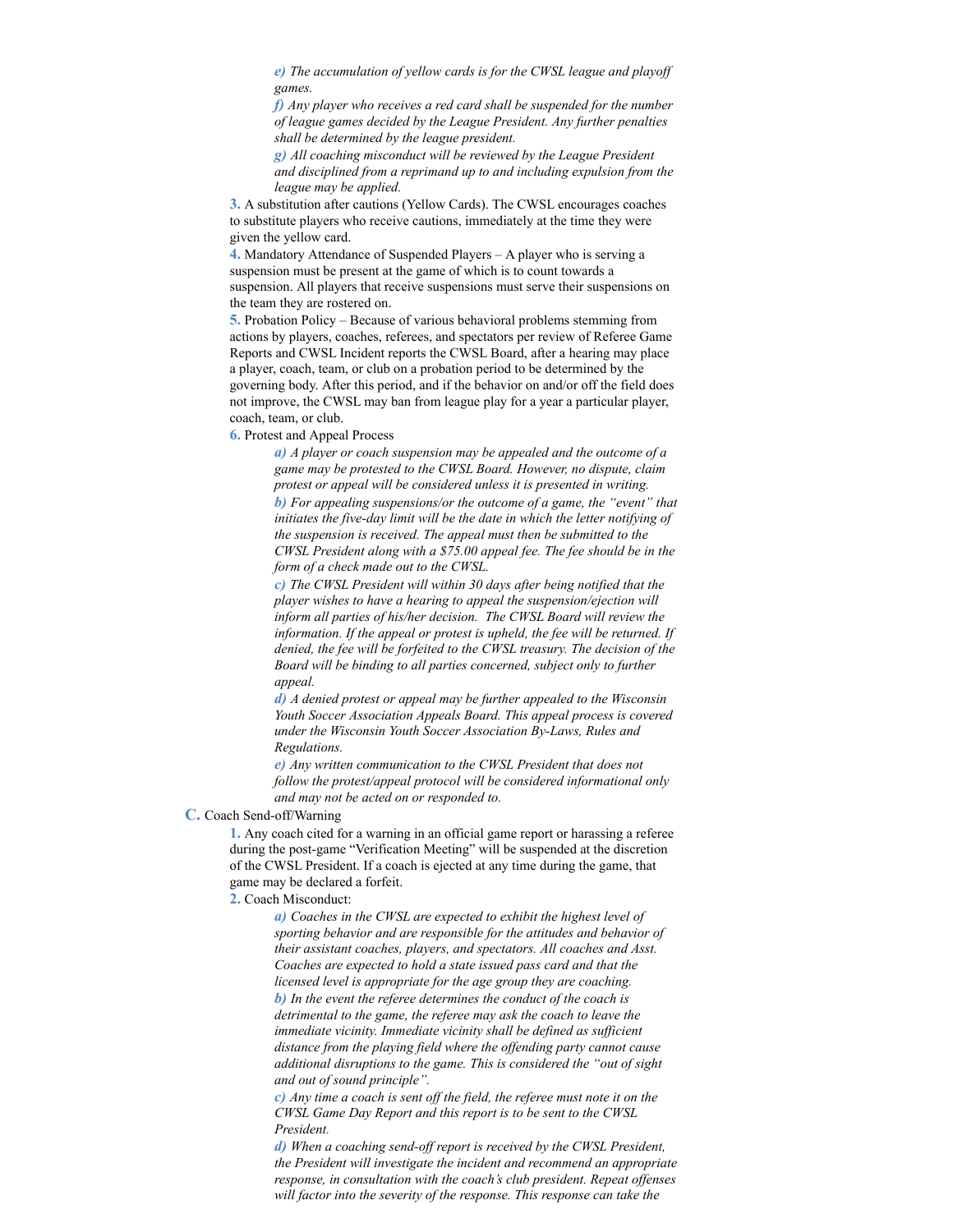*e) The accumulation of yellow cards is for the CWSL league and playoff games.*

*f) Any player who receives a red card shall be suspended for the number of league games decided by the League President. Any further penalties shall be determined by the league president.*

*g) All coaching misconduct will be reviewed by the League President and disciplined from a reprimand up to and including expulsion from the league may be applied.*

**3.** A substitution after cautions (Yellow Cards). The CWSL encourages coaches to substitute players who receive cautions, immediately at the time they were given the yellow card.

**4.** Mandatory Attendance of Suspended Players – A player who is serving a suspension must be present at the game of which is to count towards a suspension. All players that receive suspensions must serve their suspensions on the team they are rostered on.

**5.** Probation Policy – Because of various behavioral problems stemming from actions by players, coaches, referees, and spectators per review of Referee Game Reports and CWSL Incident reports the CWSL Board, after a hearing may place a player, coach, team, or club on a probation period to be determined by the governing body. After this period, and if the behavior on and/or off the field does not improve, the CWSL may ban from league play for a year a particular player, coach, team, or club.

**6.** Protest and Appeal Process

*a) A player or coach suspension may be appealed and the outcome of a game may be protested to the CWSL Board. However, no dispute, claim protest or appeal will be considered unless it is presented in writing. b) For appealing suspensions/or the outcome of a game, the "event" that initiates the five-day limit will be the date in which the letter notifying of the suspension is received. The appeal must then be submitted to the CWSL President along with a \$75.00 appeal fee. The fee should be in the form of a check made out to the CWSL.*

*c) The CWSL President will within 30 days after being notified that the player wishes to have a hearing to appeal the suspension/ejection will inform all parties of his/her decision. The CWSL Board will review the information. If the appeal or protest is upheld, the fee will be returned. If denied, the fee will be forfeited to the CWSL treasury. The decision of the Board will be binding to all parties concerned, subject only to further appeal.*

*d) A denied protest or appeal may be further appealed to the Wisconsin Youth Soccer Association Appeals Board. This appeal process is covered under the Wisconsin Youth Soccer Association By-Laws, Rules and Regulations.*

*e) Any written communication to the CWSL President that does not follow the protest/appeal protocol will be considered informational only and may not be acted on or responded to.*

### **C.** Coach Send-off/Warning

**1.** Any coach cited for a warning in an official game report or harassing a referee during the post-game "Verification Meeting" will be suspended at the discretion of the CWSL President. If a coach is ejected at any time during the game, that game may be declared a forfeit.

**2.** Coach Misconduct:

*a) Coaches in the CWSL are expected to exhibit the highest level of sporting behavior and are responsible for the attitudes and behavior of their assistant coaches, players, and spectators. All coaches and Asst. Coaches are expected to hold a state issued pass card and that the licensed level is appropriate for the age group they are coaching. b) In the event the referee determines the conduct of the coach is detrimental to the game, the referee may ask the coach to leave the immediate vicinity. Immediate vicinity shall be defined as sufficient distance from the playing field where the offending party cannot cause additional disruptions to the game. This is considered the "out of sight and out of sound principle".*

*c) Any time a coach is sent off the field, the referee must note it on the CWSL Game Day Report and this report is to be sent to the CWSL President.*

*d) When a coaching send-off report is received by the CWSL President, the President will investigate the incident and recommend an appropriate response, in consultation with the coach's club president. Repeat offenses will factor into the severity of the response. This response can take the*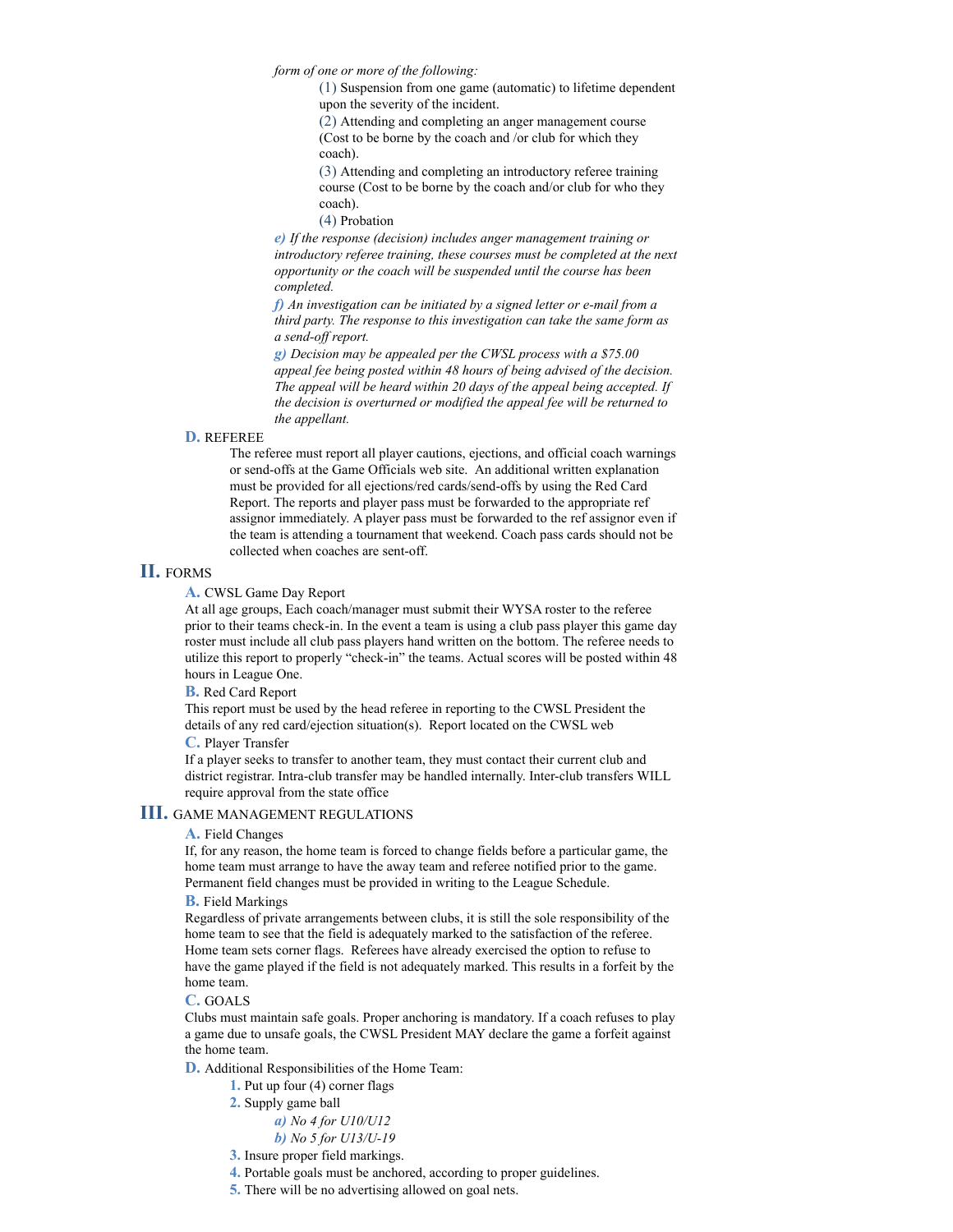*form of one or more of the following:*

(1) Suspension from one game (automatic) to lifetime dependent upon the severity of the incident.

(2) Attending and completing an anger management course (Cost to be borne by the coach and /or club for which they coach).

(3) Attending and completing an introductory referee training course (Cost to be borne by the coach and/or club for who they coach).

(4) Probation

*e) If the response (decision) includes anger management training or introductory referee training, these courses must be completed at the next opportunity or the coach will be suspended until the course has been completed.*

*f) An investigation can be initiated by a signed letter or e-mail from a third party. The response to this investigation can take the same form as a send-off report.*

*g) Decision may be appealed per the CWSL process with a \$75.00 appeal fee being posted within 48 hours of being advised of the decision. The appeal will be heard within 20 days of the appeal being accepted. If the decision is overturned or modified the appeal fee will be returned to the appellant.*

# **D.** REFEREE

The referee must report all player cautions, ejections, and official coach warnings or send-offs at the Game Officials web site. An additional written explanation must be provided for all ejections/red cards/send-offs by using the Red Card Report. The reports and player pass must be forwarded to the appropriate ref assignor immediately. A player pass must be forwarded to the ref assignor even if the team is attending a tournament that weekend. Coach pass cards should not be collected when coaches are sent-off.

# **II.** FORMS

**A.** CWSL Game Day Report

At all age groups, Each coach/manager must submit their WYSA roster to the referee prior to their teams check-in. In the event a team is using a club pass player this game day roster must include all club pass players hand written on the bottom. The referee needs to utilize this report to properly "check-in" the teams. Actual scores will be posted within 48 hours in League One.

**B.** Red Card Report

This report must be used by the head referee in reporting to the CWSL President the details of any red card/ejection situation(s). Report located on the CWSL web

# **C.** Player Transfer

If a player seeks to transfer to another team, they must contact their current club and district registrar. Intra-club transfer may be handled internally. Inter-club transfers WILL require approval from the state office

# **III.** GAME MANAGEMENT REGULATIONS

**A.** Field Changes

If, for any reason, the home team is forced to change fields before a particular game, the home team must arrange to have the away team and referee notified prior to the game. Permanent field changes must be provided in writing to the League Schedule.

# **B.** Field Markings

Regardless of private arrangements between clubs, it is still the sole responsibility of the home team to see that the field is adequately marked to the satisfaction of the referee. Home team sets corner flags. Referees have already exercised the option to refuse to have the game played if the field is not adequately marked. This results in a forfeit by the home team.

### **C.** GOALS

Clubs must maintain safe goals. Proper anchoring is mandatory. If a coach refuses to play a game due to unsafe goals, the CWSL President MAY declare the game a forfeit against the home team.

**D.** Additional Responsibilities of the Home Team:

- **1.** Put up four (4) corner flags
- **2.** Supply game ball

*a) No 4 for U10/U12 b) No 5 for U13/U-19*

- **3.** Insure proper field markings.
- **4.** Portable goals must be anchored, according to proper guidelines.
- **5.** There will be no advertising allowed on goal nets.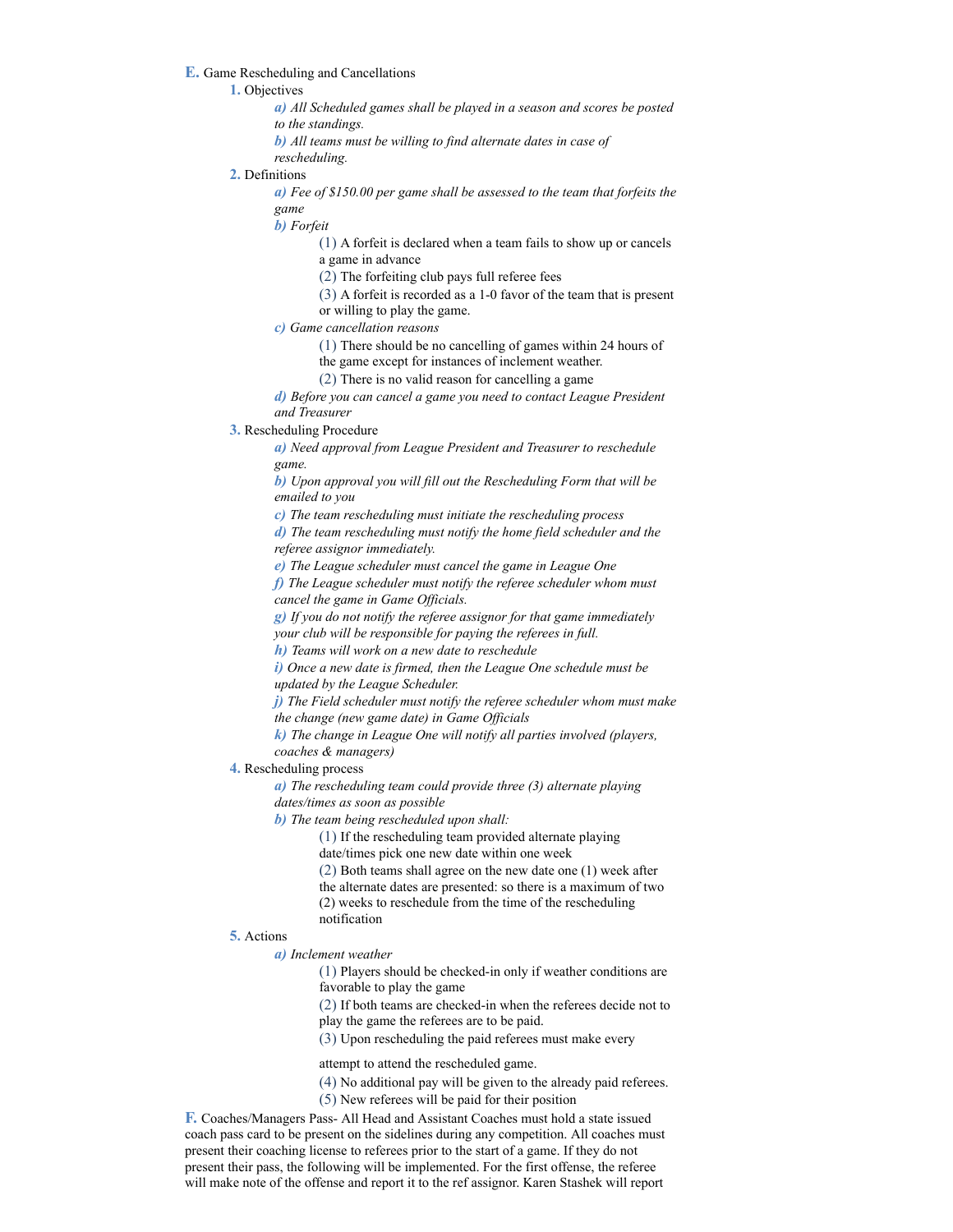#### **E.** Game Rescheduling and Cancellations

### **1.** Objectives

- *a) All Scheduled games shall be played in a season and scores be posted to the standings.*
- *b) All teams must be willing to find alternate dates in case of*
- *rescheduling.*

#### **2.** Definitions

*a) Fee of \$150.00 per game shall be assessed to the team that forfeits the game*

*b) Forfeit*

(1) A forfeit is declared when a team fails to show up or cancels a game in advance

(2) The forfeiting club pays full referee fees

(3) A forfeit is recorded as a 1-0 favor of the team that is present or willing to play the game.

*c) Game cancellation reasons*

(1) There should be no cancelling of games within 24 hours of

the game except for instances of inclement weather.

(2) There is no valid reason for cancelling a game

*d) Before you can cancel a game you need to contact League President and Treasurer*

**3.** Rescheduling Procedure

*a) Need approval from League President and Treasurer to reschedule game.*

*b) Upon approval you will fill out the Rescheduling Form that will be emailed to you*

*c) The team rescheduling must initiate the rescheduling process*

*d) The team rescheduling must notify the home field scheduler and the referee assignor immediately.*

*e) The League scheduler must cancel the game in League One*

*f) The League scheduler must notify the referee scheduler whom must cancel the game in Game Officials.*

*g) If you do not notify the referee assignor for that game immediately your club will be responsible for paying the referees in full.*

*h) Teams will work on a new date to reschedule*

*i) Once a new date is firmed, then the League One schedule must be updated by the League Scheduler.*

*j) The Field scheduler must notify the referee scheduler whom must make the change (new game date) in Game Officials*

*k) The change in League One will notify all parties involved (players, coaches & managers)*

**4.** Rescheduling process

*a) The rescheduling team could provide three (3) alternate playing dates/times as soon as possible*

*b) The team being rescheduled upon shall:*

(1) If the rescheduling team provided alternate playing date/times pick one new date within one week

(2) Both teams shall agree on the new date one (1) week after the alternate dates are presented: so there is a maximum of two (2) weeks to reschedule from the time of the rescheduling notification

#### **5.** Actions

#### *a) Inclement weather*

(1) Players should be checked-in only if weather conditions are favorable to play the game

(2) If both teams are checked-in when the referees decide not to play the game the referees are to be paid.

(3) Upon rescheduling the paid referees must make every

attempt to attend the rescheduled game.

- (4) No additional pay will be given to the already paid referees.
- (5) New referees will be paid for their position

**F.** Coaches/Managers Pass- All Head and Assistant Coaches must hold a state issued coach pass card to be present on the sidelines during any competition. All coaches must present their coaching license to referees prior to the start of a game. If they do not present their pass, the following will be implemented. For the first offense, the referee will make note of the offense and report it to the ref assignor. Karen Stashek will report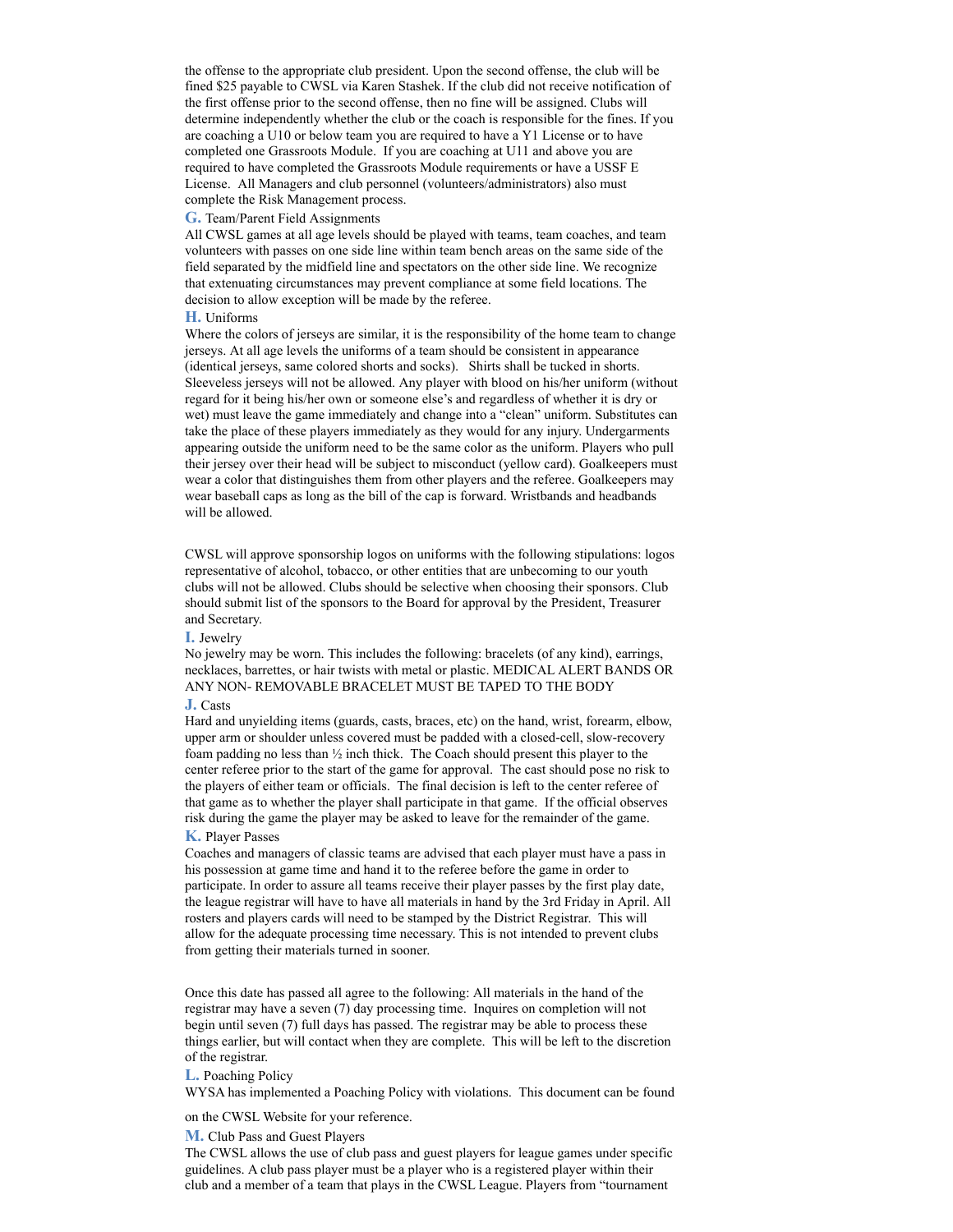the offense to the appropriate club president. Upon the second offense, the club will be fined \$25 payable to CWSL via Karen Stashek. If the club did not receive notification of the first offense prior to the second offense, then no fine will be assigned. Clubs will determine independently whether the club or the coach is responsible for the fines. If you are coaching a U10 or below team you are required to have a Y1 License or to have completed one Grassroots Module. If you are coaching at U11 and above you are required to have completed the Grassroots Module requirements or have a USSF E License. All Managers and club personnel (volunteers/administrators) also must complete the Risk Management process.

#### **G.** Team/Parent Field Assignments

All CWSL games at all age levels should be played with teams, team coaches, and team volunteers with passes on one side line within team bench areas on the same side of the field separated by the midfield line and spectators on the other side line. We recognize that extenuating circumstances may prevent compliance at some field locations. The decision to allow exception will be made by the referee.

#### **H.** Uniforms

Where the colors of jerseys are similar, it is the responsibility of the home team to change jerseys. At all age levels the uniforms of a team should be consistent in appearance (identical jerseys, same colored shorts and socks). Shirts shall be tucked in shorts. Sleeveless jerseys will not be allowed. Any player with blood on his/her uniform (without regard for it being his/her own or someone else's and regardless of whether it is dry or wet) must leave the game immediately and change into a "clean" uniform. Substitutes can take the place of these players immediately as they would for any injury. Undergarments appearing outside the uniform need to be the same color as the uniform. Players who pull their jersey over their head will be subject to misconduct (yellow card). Goalkeepers must wear a color that distinguishes them from other players and the referee. Goalkeepers may wear baseball caps as long as the bill of the cap is forward. Wristbands and headbands will be allowed.

CWSL will approve sponsorship logos on uniforms with the following stipulations: logos representative of alcohol, tobacco, or other entities that are unbecoming to our youth clubs will not be allowed. Clubs should be selective when choosing their sponsors. Club should submit list of the sponsors to the Board for approval by the President, Treasurer and Secretary.

### **I.** Jewelry

No jewelry may be worn. This includes the following: bracelets (of any kind), earrings, necklaces, barrettes, or hair twists with metal or plastic. MEDICAL ALERT BANDS OR ANY NON- REMOVABLE BRACELET MUST BE TAPED TO THE BODY

### **J.** Casts

Hard and unyielding items (guards, casts, braces, etc) on the hand, wrist, forearm, elbow, upper arm or shoulder unless covered must be padded with a closed-cell, slow-recovery foam padding no less than ½ inch thick. The Coach should present this player to the center referee prior to the start of the game for approval. The cast should pose no risk to the players of either team or officials. The final decision is left to the center referee of that game as to whether the player shall participate in that game. If the official observes risk during the game the player may be asked to leave for the remainder of the game.

# **K.** Player Passes

Coaches and managers of classic teams are advised that each player must have a pass in his possession at game time and hand it to the referee before the game in order to participate. In order to assure all teams receive their player passes by the first play date, the league registrar will have to have all materials in hand by the 3rd Friday in April. All rosters and players cards will need to be stamped by the District Registrar. This will allow for the adequate processing time necessary. This is not intended to prevent clubs from getting their materials turned in sooner.

Once this date has passed all agree to the following: All materials in the hand of the registrar may have a seven (7) day processing time. Inquires on completion will not begin until seven (7) full days has passed. The registrar may be able to process these things earlier, but will contact when they are complete. This will be left to the discretion of the registrar.

# **L.** Poaching Policy

WYSA has implemented a Poaching Policy with violations. This document can be found

on the CWSL Website for your reference.

### **M.** Club Pass and Guest Players

The CWSL allows the use of club pass and guest players for league games under specific guidelines. A club pass player must be a player who is a registered player within their club and a member of a team that plays in the CWSL League. Players from "tournament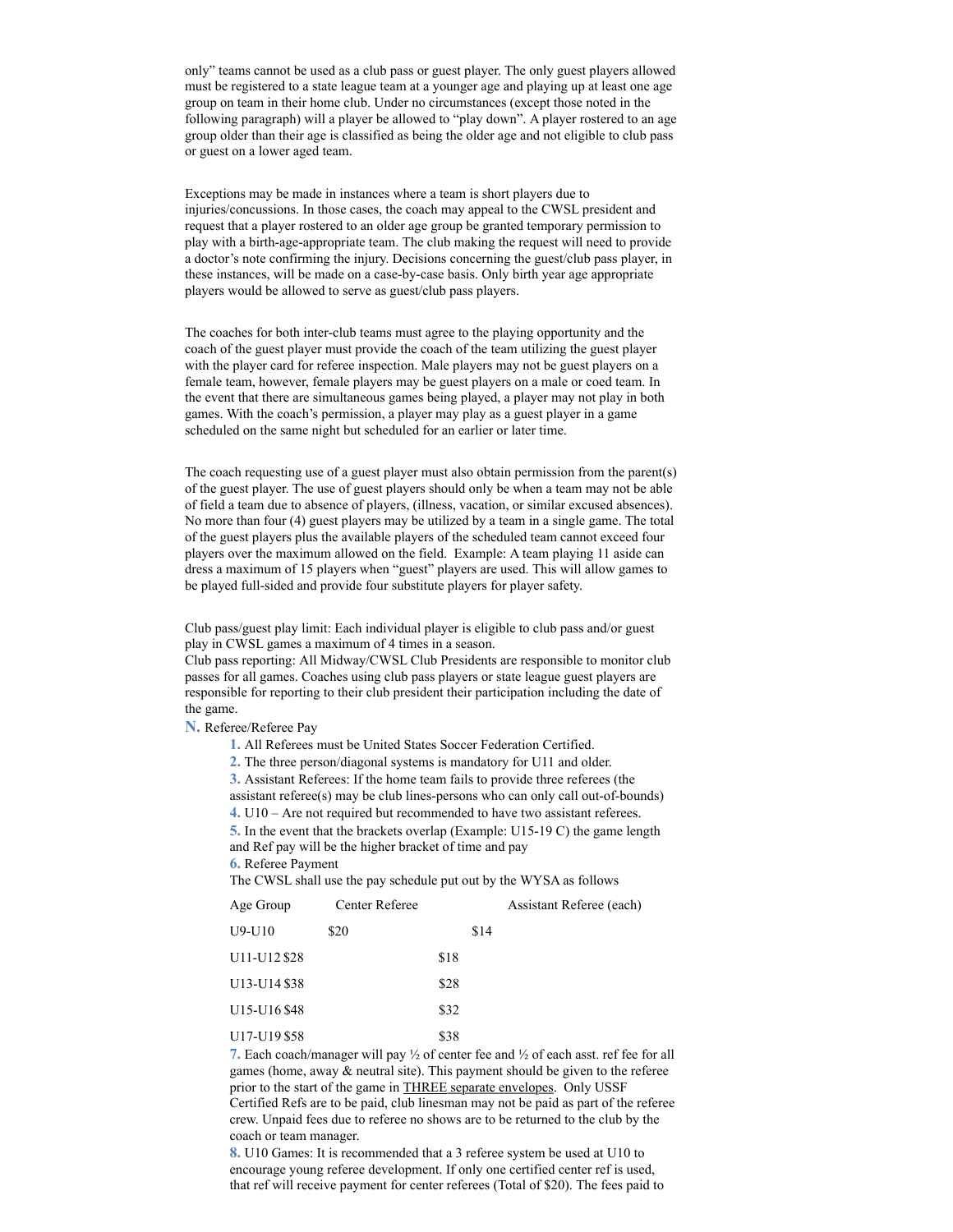only" teams cannot be used as a club pass or guest player. The only guest players allowed must be registered to a state league team at a younger age and playing up at least one age group on team in their home club. Under no circumstances (except those noted in the following paragraph) will a player be allowed to "play down". A player rostered to an age group older than their age is classified as being the older age and not eligible to club pass or guest on a lower aged team.

Exceptions may be made in instances where a team is short players due to injuries/concussions. In those cases, the coach may appeal to the CWSL president and request that a player rostered to an older age group be granted temporary permission to play with a birth-age-appropriate team. The club making the request will need to provide a doctor's note confirming the injury. Decisions concerning the guest/club pass player, in these instances, will be made on a case-by-case basis. Only birth year age appropriate players would be allowed to serve as guest/club pass players.

The coaches for both inter-club teams must agree to the playing opportunity and the coach of the guest player must provide the coach of the team utilizing the guest player with the player card for referee inspection. Male players may not be guest players on a female team, however, female players may be guest players on a male or coed team. In the event that there are simultaneous games being played, a player may not play in both games. With the coach's permission, a player may play as a guest player in a game scheduled on the same night but scheduled for an earlier or later time.

The coach requesting use of a guest player must also obtain permission from the parent(s) of the guest player. The use of guest players should only be when a team may not be able of field a team due to absence of players, (illness, vacation, or similar excused absences). No more than four (4) guest players may be utilized by a team in a single game. The total of the guest players plus the available players of the scheduled team cannot exceed four players over the maximum allowed on the field. Example: A team playing 11 aside can dress a maximum of 15 players when "guest" players are used. This will allow games to be played full-sided and provide four substitute players for player safety.

Club pass/guest play limit: Each individual player is eligible to club pass and/or guest play in CWSL games a maximum of 4 times in a season.

Club pass reporting: All Midway/CWSL Club Presidents are responsible to monitor club passes for all games. Coaches using club pass players or state league guest players are responsible for reporting to their club president their participation including the date of the game.

**N.** Referee/Referee Pay

**1.** All Referees must be United States Soccer Federation Certified.

**2.** The three person/diagonal systems is mandatory for U11 and older.

**3.** Assistant Referees: If the home team fails to provide three referees (the

assistant referee(s) may be club lines-persons who can only call out-of-bounds) **4.** U10 – Are not required but recommended to have two assistant referees.

**5.** In the event that the brackets overlap (Example: U15-19 C) the game length and Ref pay will be the higher bracket of time and pay

**6.** Referee Payment

The CWSL shall use the pay schedule put out by the WYSA as follows

| Age Group                             | Center Referee |      |      | Assistant Referee (each) |
|---------------------------------------|----------------|------|------|--------------------------|
| $U9-U10$                              | \$20           |      | \$14 |                          |
| U11-U12 \$28                          |                | \$18 |      |                          |
| U13-U14 \$38                          |                | \$28 |      |                          |
| U <sub>15</sub> -U <sub>16</sub> \$48 |                | \$32 |      |                          |
| U17-U19 \$58                          |                | \$38 |      |                          |

**7.** Each coach/manager will pay ½ of center fee and ½ of each asst. ref fee for all games (home, away & neutral site). This payment should be given to the referee prior to the start of the game in **THREE** separate envelopes. Only USSF Certified Refs are to be paid, club linesman may not be paid as part of the referee crew. Unpaid fees due to referee no shows are to be returned to the club by the coach or team manager.

**8.** U10 Games: It is recommended that a 3 referee system be used at U10 to encourage young referee development. If only one certified center ref is used, that ref will receive payment for center referees (Total of \$20). The fees paid to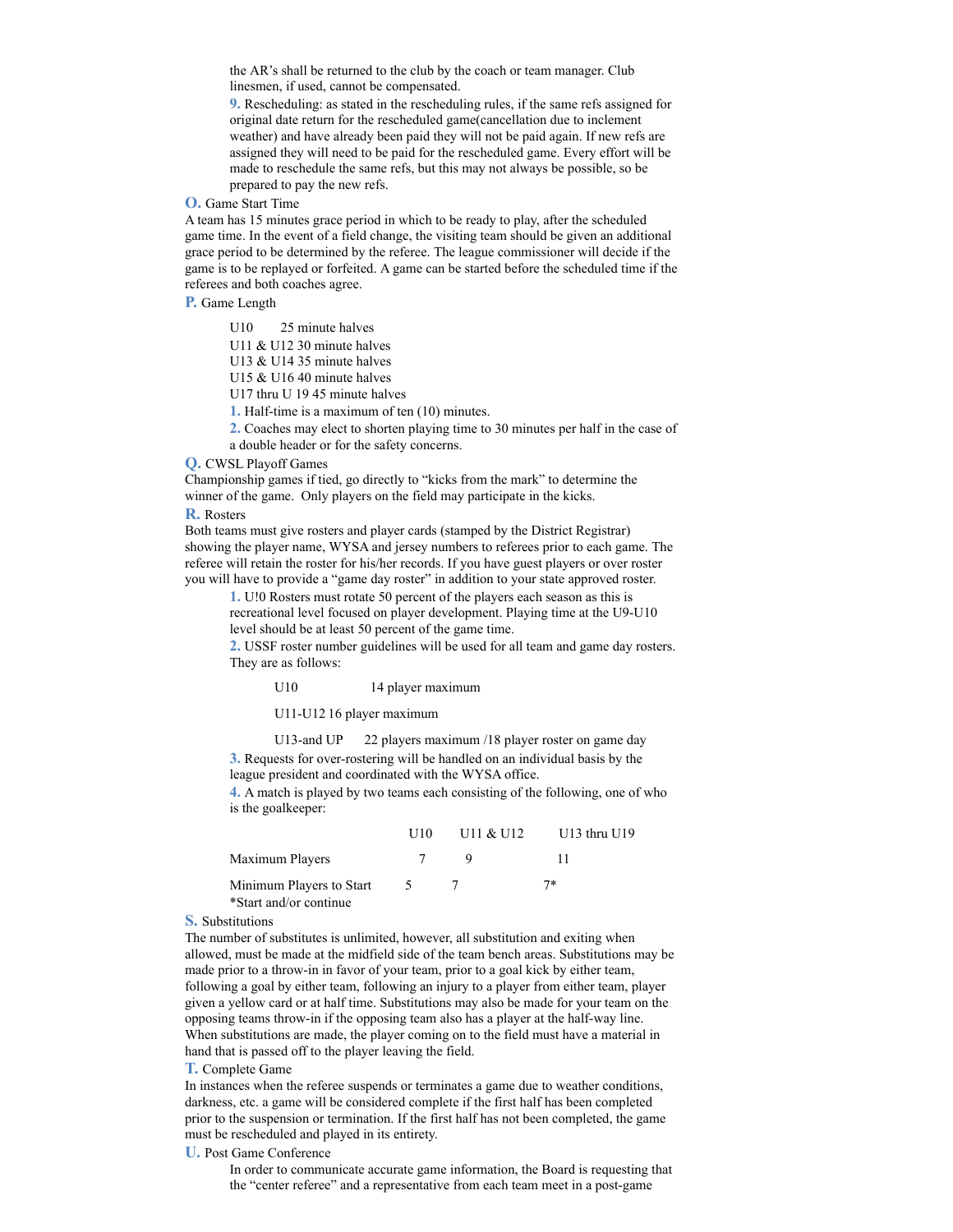the AR's shall be returned to the club by the coach or team manager. Club linesmen, if used, cannot be compensated.

**9.** Rescheduling: as stated in the rescheduling rules, if the same refs assigned for original date return for the rescheduled game(cancellation due to inclement weather) and have already been paid they will not be paid again. If new refs are assigned they will need to be paid for the rescheduled game. Every effort will be made to reschedule the same refs, but this may not always be possible, so be prepared to pay the new refs.

# **O.** Game Start Time

A team has 15 minutes grace period in which to be ready to play, after the scheduled game time. In the event of a field change, the visiting team should be given an additional grace period to be determined by the referee. The league commissioner will decide if the game is to be replayed or forfeited. A game can be started before the scheduled time if the referees and both coaches agree.

### **P.** Game Length

U10 25 minute halves

U11 & U12 30 minute halves

U13 & U14 35 minute halves

U15 & U16 40 minute halves

U17 thru U 19 45 minute halves

**1.** Half-time is a maximum of ten (10) minutes.

**2.** Coaches may elect to shorten playing time to 30 minutes per half in the case of a double header or for the safety concerns.

**Q.** CWSL Playoff Games

Championship games if tied, go directly to "kicks from the mark" to determine the winner of the game. Only players on the field may participate in the kicks.

# **R.** Rosters

Both teams must give rosters and player cards (stamped by the District Registrar) showing the player name, WYSA and jersey numbers to referees prior to each game. The referee will retain the roster for his/her records. If you have guest players or over roster you will have to provide a "game day roster" in addition to your state approved roster.

**1.** U!0 Rosters must rotate 50 percent of the players each season as this is

recreational level focused on player development. Playing time at the U9-U10 level should be at least 50 percent of the game time.

**2.** USSF roster number guidelines will be used for all team and game day rosters. They are as follows:

U10 14 player maximum

U11-U12 16 player maximum

U13-and UP 22 players maximum /18 player roster on game day **3.** Requests for over-rostering will be handled on an individual basis by the

league president and coordinated with the WYSA office.

**4.** A match is played by two teams each consisting of the following, one of who is the goalkeeper:

|                                                    | U10      | U11 & 0.112 | $U13$ thru $U19$ |
|----------------------------------------------------|----------|-------------|------------------|
| Maximum Players                                    |          |             |                  |
| Minimum Players to Start<br>*Start and/or continue | $\Delta$ |             | 7*               |

#### **S.** Substitutions

The number of substitutes is unlimited, however, all substitution and exiting when allowed, must be made at the midfield side of the team bench areas. Substitutions may be made prior to a throw-in in favor of your team, prior to a goal kick by either team, following a goal by either team, following an injury to a player from either team, player given a yellow card or at half time. Substitutions may also be made for your team on the opposing teams throw-in if the opposing team also has a player at the half-way line. When substitutions are made, the player coming on to the field must have a material in hand that is passed off to the player leaving the field.

# **T.** Complete Game

In instances when the referee suspends or terminates a game due to weather conditions, darkness, etc. a game will be considered complete if the first half has been completed prior to the suspension or termination. If the first half has not been completed, the game must be rescheduled and played in its entirety.

# **U.** Post Game Conference

In order to communicate accurate game information, the Board is requesting that the "center referee" and a representative from each team meet in a post-game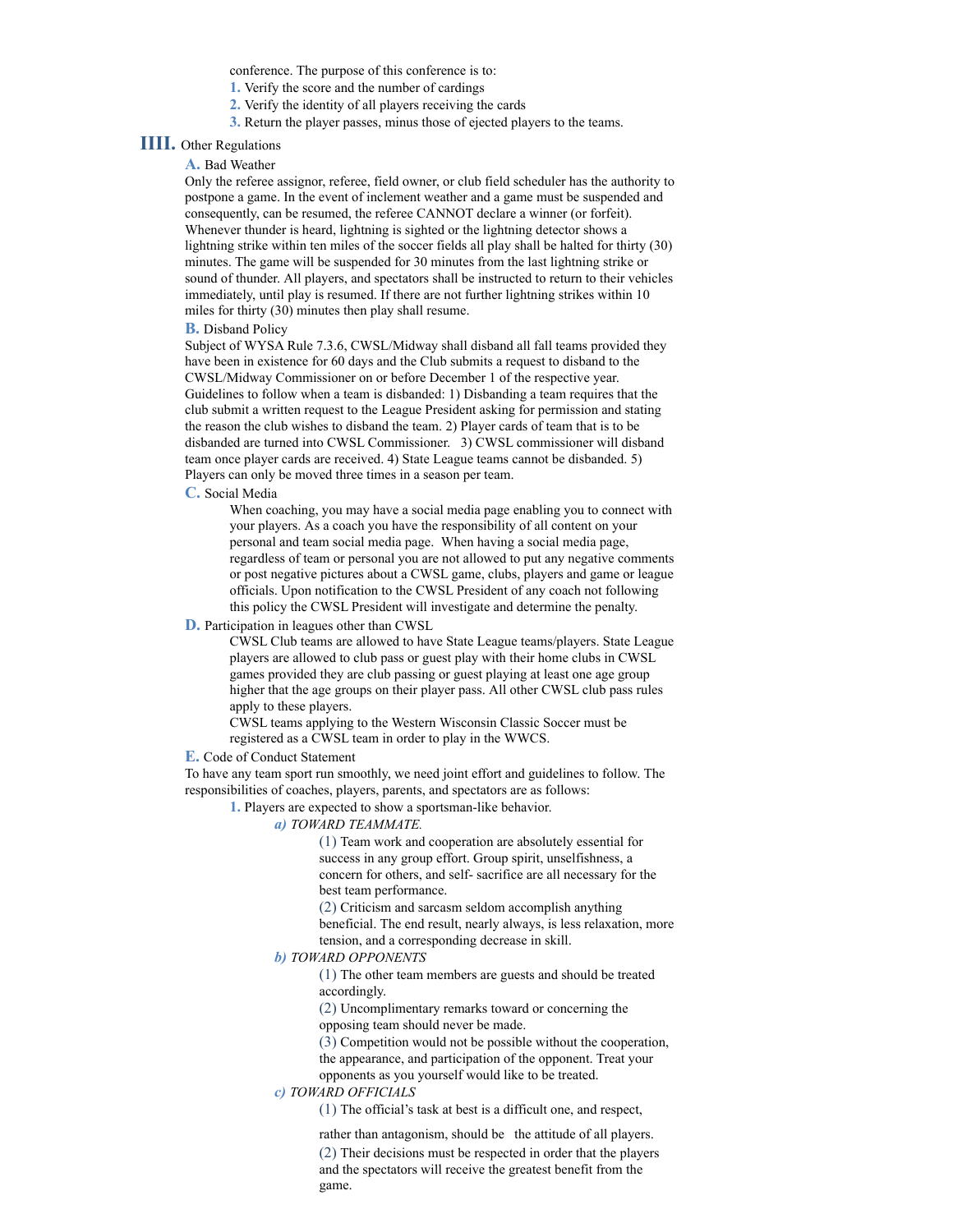conference. The purpose of this conference is to:

**1.** Verify the score and the number of cardings

- **2.** Verify the identity of all players receiving the cards
- **3.** Return the player passes, minus those of ejected players to the teams.

# **IIII.** Other Regulations

# **A.** Bad Weather

Only the referee assignor, referee, field owner, or club field scheduler has the authority to postpone a game. In the event of inclement weather and a game must be suspended and consequently, can be resumed, the referee CANNOT declare a winner (or forfeit). Whenever thunder is heard, lightning is sighted or the lightning detector shows a lightning strike within ten miles of the soccer fields all play shall be halted for thirty (30) minutes. The game will be suspended for 30 minutes from the last lightning strike or sound of thunder. All players, and spectators shall be instructed to return to their vehicles immediately, until play is resumed. If there are not further lightning strikes within 10 miles for thirty (30) minutes then play shall resume.

### **B.** Disband Policy

Subject of WYSA Rule 7.3.6, CWSL/Midway shall disband all fall teams provided they have been in existence for 60 days and the Club submits a request to disband to the CWSL/Midway Commissioner on or before December 1 of the respective year. Guidelines to follow when a team is disbanded: 1) Disbanding a team requires that the club submit a written request to the League President asking for permission and stating the reason the club wishes to disband the team. 2) Player cards of team that is to be disbanded are turned into CWSL Commissioner. 3) CWSL commissioner will disband team once player cards are received. 4) State League teams cannot be disbanded. 5) Players can only be moved three times in a season per team.

### **C.** Social Media

When coaching, you may have a social media page enabling you to connect with your players. As a coach you have the responsibility of all content on your personal and team social media page. When having a social media page, regardless of team or personal you are not allowed to put any negative comments or post negative pictures about a CWSL game, clubs, players and game or league officials. Upon notification to the CWSL President of any coach not following this policy the CWSL President will investigate and determine the penalty.

# **D.** Participation in leagues other than CWSL

CWSL Club teams are allowed to have State League teams/players. State League players are allowed to club pass or guest play with their home clubs in CWSL games provided they are club passing or guest playing at least one age group higher that the age groups on their player pass. All other CWSL club pass rules apply to these players.

CWSL teams applying to the Western Wisconsin Classic Soccer must be registered as a CWSL team in order to play in the WWCS.

### **E.** Code of Conduct Statement

To have any team sport run smoothly, we need joint effort and guidelines to follow. The responsibilities of coaches, players, parents, and spectators are as follows:

**1.** Players are expected to show a sportsman-like behavior.

### *a) TOWARD TEAMMATE.*

(1) Team work and cooperation are absolutely essential for success in any group effort. Group spirit, unselfishness, a concern for others, and self- sacrifice are all necessary for the best team performance.

(2) Criticism and sarcasm seldom accomplish anything beneficial. The end result, nearly always, is less relaxation, more tension, and a corresponding decrease in skill.

# *b) TOWARD OPPONENTS*

(1) The other team members are guests and should be treated accordingly.

(2) Uncomplimentary remarks toward or concerning the opposing team should never be made.

(3) Competition would not be possible without the cooperation, the appearance, and participation of the opponent. Treat your opponents as you yourself would like to be treated.

#### *c) TOWARD OFFICIALS*

(1) The official's task at best is a difficult one, and respect,

rather than antagonism, should be the attitude of all players. (2) Their decisions must be respected in order that the players and the spectators will receive the greatest benefit from the game.